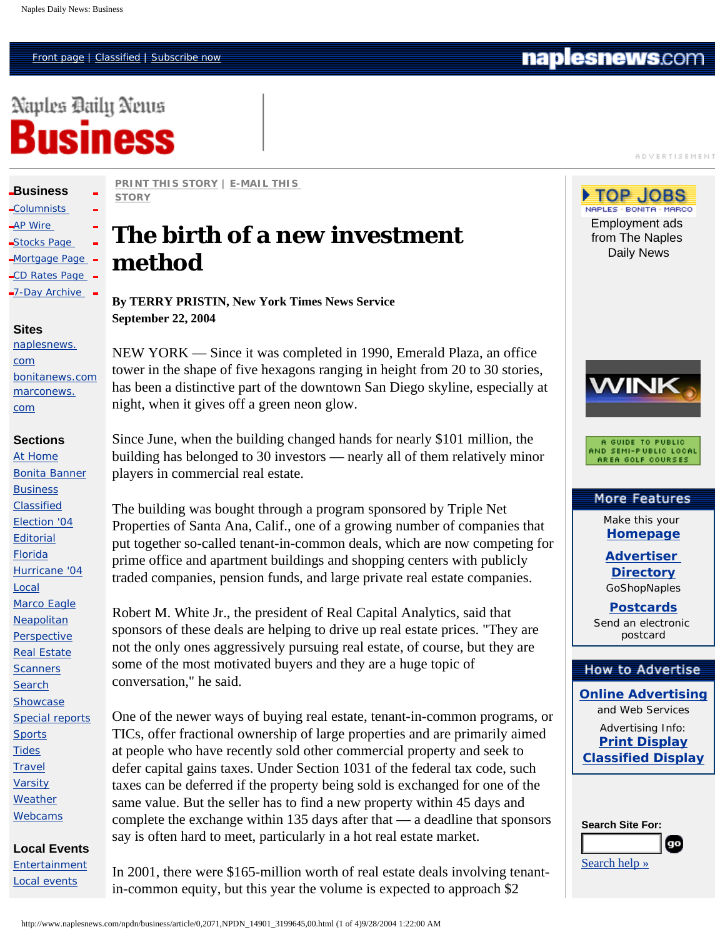Naples Daily News

Business

**ADVERTISEMENT** 



Advertising Info: **[Print Display](http://web.naplesnews.com/advertising/) [Classified Display](http://web.naplesnews.com/advertising/)**

| <b>Search Site For:</b> |  |
|-------------------------|--|
|                         |  |
| Search help $\gg$       |  |

**[PRINT THIS STORY](javascript:popup("/npdn/cda/article_print/0,1983,NPDN_14901_3199645_ARTICLE-DETAIL-PRINT,00.html",700,500,1)) | [E-MAIL THIS](javascript:popup("/cr/cda/email/article/1,1249,NPDN_14901_3199645,00.html",400,350))** 

# **The birth of a new investment method**

**By TERRY PRISTIN, New York Times News Service September 22, 2004**

NEW YORK — Since it was completed in 1990, Emerald Plaza, an office tower in the shape of five hexagons ranging in height from 20 to 30 stories, has been a distinctive part of the downtown San Diego skyline, especially at night, when it gives off a green neon glow.

Since June, when the building changed hands for nearly \$101 million, the building has belonged to 30 investors — nearly all of them relatively minor players in commercial real estate.

The building was bought through a program sponsored by Triple Net Properties of Santa Ana, Calif., one of a growing number of companies that put together so-called tenant-in-common deals, which are now competing for prime office and apartment buildings and shopping centers with publicly traded companies, pension funds, and large private real estate companies.

Robert M. White Jr., the president of Real Capital Analytics, said that sponsors of these deals are helping to drive up real estate prices. "They are not the only ones aggressively pursuing real estate, of course, but they are some of the most motivated buyers and they are a huge topic of conversation," he said.

One of the newer ways of buying real estate, tenant-in-common programs, or TICs, offer fractional ownership of large properties and are primarily aimed at people who have recently sold other commercial property and seek to defer capital gains taxes. Under Section 1031 of the federal tax code, such taxes can be deferred if the property being sold is exchanged for one of the same value. But the seller has to find a new property within 45 days and complete the exchange within 135 days after that — a deadline that sponsors say is often hard to meet, particularly in a hot real estate market.

In 2001, there were \$165-million worth of real estate deals involving tenantin-common equity, but this year the volume is expected to approach \$2

**[STORY](javascript:popup("/cr/cda/email/article/1,1249,NPDN_14901_3199645,00.html",400,350))** 

 $\Box$ [CD Rates Page](http://web.naplesnews.com/sections/business/savings.html)  $\Box$ -7-Day Archive **Sites**

[naplesnews.](http://www.naplesnews.com/npdn/) [com](http://www.naplesnews.com/npdn/) [bonitanews.com](http://www.naplesnews.com/npdn/bonitanews/) [marconews.](http://www.naplesnews.com/npdn/marconews/)

**[Business](http://www.naplesnews.com/npdn/business/0,2071,NPDN_14901,00.html)**  [Columnists](http://www.naplesnews.com/npdn/bu_columnists/0,2071,NPDN_14897,00.html)  [AP Wire](http://customwire.ap.org/dynamic/fronts/BUSINESS?SITE=FLNAP&SECTION=BUSINESS)  [Stocks Page](http://investor.cnet.com/investorpw/privatewire/naplesnews/0-7478914-1-0-1.html) [Mortgage Page](http://web.naplesnews.com/sections/business/mort.html) -

[com](http://www.naplesnews.com/npdn/marconews/)

#### **Sections**

[At Home](http://www.naplesnews.com/npdn/at_home/) [Bonita Banner](http://www.naplesnews.com/npdn/bn_banner/) **[Business](http://www.naplesnews.com/npdn/business/)** [Classified](http://www.naplesnews.com/classified/) [Election '04](http://www.naplesnews.com/npdn/election) **[Editorial](http://www.naplesnews.com/npdn/perspective/)** [Florida](http://www.naplesnews.com/npdn/florida/) [Hurricane '04](http://web.naplesnews.com/hurricane/) [Local](http://www.naplesnews.com/npdn/news/) [Marco Eagle](http://www.naplesnews.com/npdn/ma_eagle/) [Neapolitan](http://www.naplesnews.com/npdn/neapolitan/) **[Perspective](http://www.naplesnews.com/npdn/perspective/)** [Real Estate](http://www.naplesnews.com/npdn/real_estate/) **[Scanners](http://web.naplesnews.com/special/crime/crime.html) [Search](http://www.naplesnews.com/npdn/search/)** [Showcase](http://www.naplesnews.com/npdn/showcase/) [Special reports](http://web.naplesnews.com/special/links/newlinks1.html) **[Sports](http://www.naplesnews.com/npdn/sports/) [Tides](http://web.naplesnews.com/weather/tides/2003tide.htm) [Travel](http://www.naplesnews.com/npdn/travel/)** [Varsity](http://www.naplesnews.com/npdn/sp_varsity/) **[Weather](http://web.naplesnews.com/weather/front.html)** [Webcams](http://web.naplesnews.com/sections/webcams/front.html)

**Local Events** 

[Entertainment](http://www.naplesnews.com/npdn/showcase/) [Local events](http://www.naplesnews.com/npdn/sh_local_events/)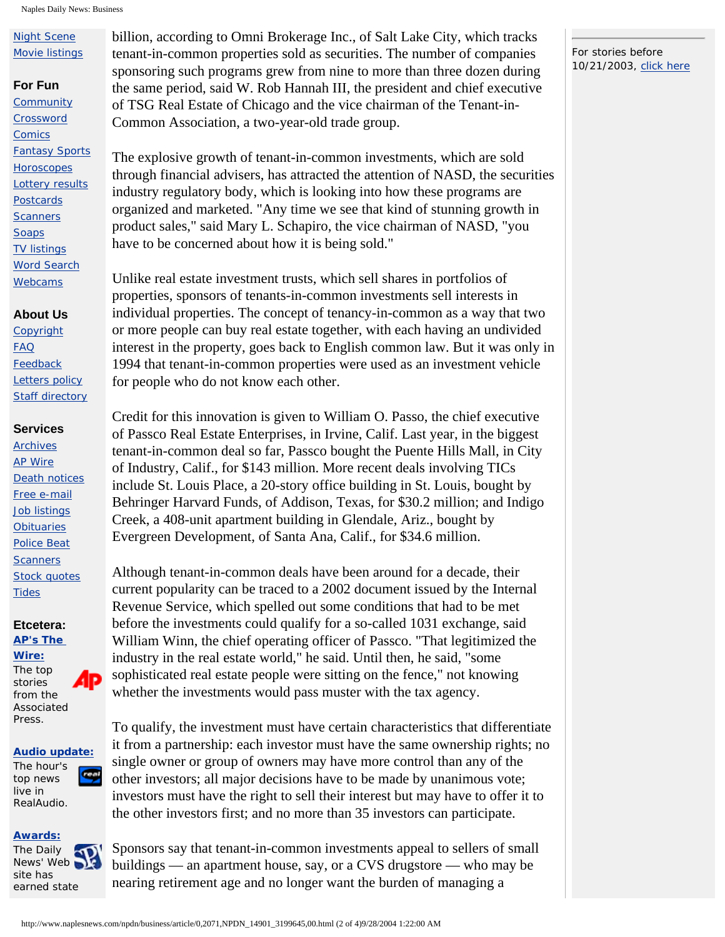Naples Daily News: Business

# [Night Scene](http://www.naplesnews.com/npdn/sh_night_scene/) [Movie listings](http://web.naplesnews.com/sections/movies/hollywood20.html)

#### **For Fun**

**[Community](http://community.naplesnews.com/)** [Crossword](http://www2.uclick.com/client/apf/tmlap) **[Comics](http://www.comics.com/)** [Fantasy Sports](http://www.bullysports.com/sub/home/index.htm?v=9) **[Horoscopes](http://web.naplesnews.com/entertainment/horoscopes/index.html)** [Lottery results](http://web.naplesnews.com/entertainment/lottery/index.html) **[Postcards](http://web.naplesnews.com/postcard/index.html) [Scanners](http://web.naplesnews.com/special/crime/crime.html) [Soaps](http://web.naplesnews.com/entertainment/soaps/index.html)** [TV listings](http://tvlistings4.zap2it.com/partners/grid.asp?partner_id=93J) [Word Search](http://www.uclick.com/client/apf/ws/) [Webcams](http://web.naplesnews.com/sections/webcams/front.html)

# **About Us**

**[Copyright](http://web.naplesnews.com/sections/help/useragreement.html)** [FAQ](http://web.naplesnews.com/sections/help/faq.html) **[Feedback](mailto:info@naplesnews.com)** [Letters policy](http://web.naplesnews.com/sections/help/letters.html) **[Staff directory](http://web.naplesnews.com/sections/help/dir-dept.html)** 

## **Services**

**[Archives](http://web.naplesnews.com/site_search.html)** [AP Wire](http://customwire.ap.org/dynamic/fronts/HOME?SITE=FLNAP&SECTION=HOME) [Death notices](http://naplesnews.abracat.com/c2/obits/hub/index.xml) [Free e-mail](http://www.naplesnews.net/) [Job listings](http://web.naplesnews.com/classified/careersite/) **[Obituaries](http://naplesnews.abracat.com/c2/obits/hub/index.xml)** [Police Beat](http://www.naplesnews.com/npdn/nw_police_beat/) **[Scanners](http://web.naplesnews.com/special/crime/crime.html)** [Stock quotes](http://studio.financialcontent.com/Engine?Account=naplesnews&PageName=MARKETSUMMARY) **[Tides](http://web.naplesnews.com/weather/tides/2003tide.htm)** 

#### **Etcetera: [AP's The](http://customwire.ap.org/dynamic/fronts/HOME?SITE=FLNAP&SECTION=HOME)**

**[Wire:](http://customwire.ap.org/dynamic/fronts/HOME?SITE=FLNAP&SECTION=HOME)**

The top 4P stories from the Associated Press.

#### **[Audio update:](http://stream.ap.org/audioupdate.ram)**

The hour's real top news live in RealAudio.

## **[Awards:](http://web.naplesnews.com/sections/awards/)**

The Daily  $\infty$ News' Web site has earned state

billion, according to Omni Brokerage Inc., of Salt Lake City, which tracks tenant-in-common properties sold as securities. The number of companies sponsoring such programs grew from nine to more than three dozen during the same period, said W. Rob Hannah III, the president and chief executive of TSG Real Estate of Chicago and the vice chairman of the Tenant-in-Common Association, a two-year-old trade group.

The explosive growth of tenant-in-common investments, which are sold through financial advisers, has attracted the attention of NASD, the securities industry regulatory body, which is looking into how these programs are organized and marketed. "Any time we see that kind of stunning growth in product sales," said Mary L. Schapiro, the vice chairman of NASD, "you have to be concerned about how it is being sold."

Unlike real estate investment trusts, which sell shares in portfolios of properties, sponsors of tenants-in-common investments sell interests in individual properties. The concept of tenancy-in-common as a way that two or more people can buy real estate together, with each having an undivided interest in the property, goes back to English common law. But it was only in 1994 that tenant-in-common properties were used as an investment vehicle for people who do not know each other.

Credit for this innovation is given to William O. Passo, the chief executive of Passco Real Estate Enterprises, in Irvine, Calif. Last year, in the biggest tenant-in-common deal so far, Passco bought the Puente Hills Mall, in City of Industry, Calif., for \$143 million. More recent deals involving TICs include St. Louis Place, a 20-story office building in St. Louis, bought by Behringer Harvard Funds, of Addison, Texas, for \$30.2 million; and Indigo Creek, a 408-unit apartment building in Glendale, Ariz., bought by Evergreen Development, of Santa Ana, Calif., for \$34.6 million.

Although tenant-in-common deals have been around for a decade, their current popularity can be traced to a 2002 document issued by the Internal Revenue Service, which spelled out some conditions that had to be met before the investments could qualify for a so-called 1031 exchange, said William Winn, the chief operating officer of Passco. "That legitimized the industry in the real estate world," he said. Until then, he said, "some sophisticated real estate people were sitting on the fence," not knowing whether the investments would pass muster with the tax agency.

To qualify, the investment must have certain characteristics that differentiate it from a partnership: each investor must have the same ownership rights; no single owner or group of owners may have more control than any of the other investors; all major decisions have to be made by unanimous vote; investors must have the right to sell their interest but may have to offer it to the other investors first; and no more than 35 investors can participate.

Sponsors say that tenant-in-common investments appeal to sellers of small buildings — an apartment house, say, or a CVS drugstore — who may be nearing retirement age and no longer want the burden of managing a

#### For stories before 10/21/2003, [click here](http://www.naplesnews.com/npdn/search/)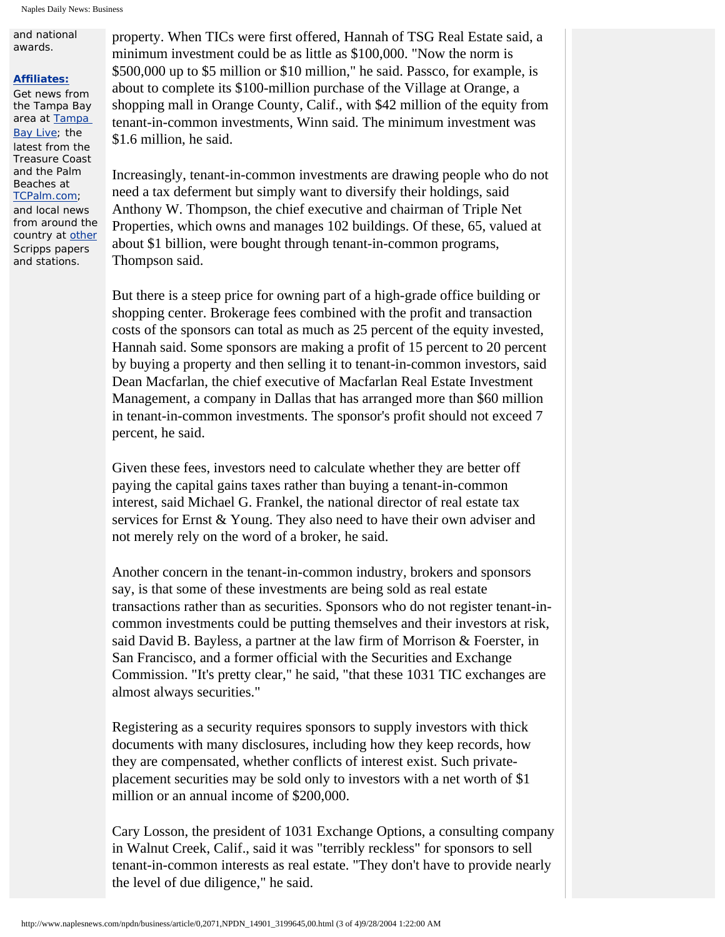and national awards.

#### **[Affiliates:](http://www.scripps.com/websites/index.shtml)**

Get news from the Tampa Bay area at [Tampa](http://www.tampabaylive.com/)  [Bay Live](http://www.tampabaylive.com/); the latest from the Treasure Coast and the Palm Beaches at [TCPalm.com](http://www.tcpalm.com/); and local news from around the country at [other](http://www.scripps.com/websites/index.shtml) Scripps papers and stations.

property. When TICs were first offered, Hannah of TSG Real Estate said, a minimum investment could be as little as \$100,000. "Now the norm is \$500,000 up to \$5 million or \$10 million," he said. Passco, for example, is about to complete its \$100-million purchase of the Village at Orange, a shopping mall in Orange County, Calif., with \$42 million of the equity from tenant-in-common investments, Winn said. The minimum investment was \$1.6 million, he said.

Increasingly, tenant-in-common investments are drawing people who do not need a tax deferment but simply want to diversify their holdings, said Anthony W. Thompson, the chief executive and chairman of Triple Net Properties, which owns and manages 102 buildings. Of these, 65, valued at about \$1 billion, were bought through tenant-in-common programs, Thompson said.

But there is a steep price for owning part of a high-grade office building or shopping center. Brokerage fees combined with the profit and transaction costs of the sponsors can total as much as 25 percent of the equity invested, Hannah said. Some sponsors are making a profit of 15 percent to 20 percent by buying a property and then selling it to tenant-in-common investors, said Dean Macfarlan, the chief executive of Macfarlan Real Estate Investment Management, a company in Dallas that has arranged more than \$60 million in tenant-in-common investments. The sponsor's profit should not exceed 7 percent, he said.

Given these fees, investors need to calculate whether they are better off paying the capital gains taxes rather than buying a tenant-in-common interest, said Michael G. Frankel, the national director of real estate tax services for Ernst & Young. They also need to have their own adviser and not merely rely on the word of a broker, he said.

Another concern in the tenant-in-common industry, brokers and sponsors say, is that some of these investments are being sold as real estate transactions rather than as securities. Sponsors who do not register tenant-incommon investments could be putting themselves and their investors at risk, said David B. Bayless, a partner at the law firm of Morrison & Foerster, in San Francisco, and a former official with the Securities and Exchange Commission. "It's pretty clear," he said, "that these 1031 TIC exchanges are almost always securities."

Registering as a security requires sponsors to supply investors with thick documents with many disclosures, including how they keep records, how they are compensated, whether conflicts of interest exist. Such privateplacement securities may be sold only to investors with a net worth of \$1 million or an annual income of \$200,000.

Cary Losson, the president of 1031 Exchange Options, a consulting company in Walnut Creek, Calif., said it was "terribly reckless" for sponsors to sell tenant-in-common interests as real estate. "They don't have to provide nearly the level of due diligence," he said.